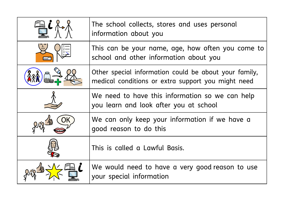| The school collects, stores and uses personal<br>information about you                                      |
|-------------------------------------------------------------------------------------------------------------|
| This can be your name, age, how often you come to<br>school and other information about you                 |
| Other special information could be about your family,<br>medical conditions or extra support you might need |
| We need to have this information so we can help<br>you learn and look after you at school                   |
| We can only keep your information if we have a<br>good reason to do this                                    |
| This is called a Lawful Basis.                                                                              |
| We would need to have a very good reason to use<br>your special information                                 |